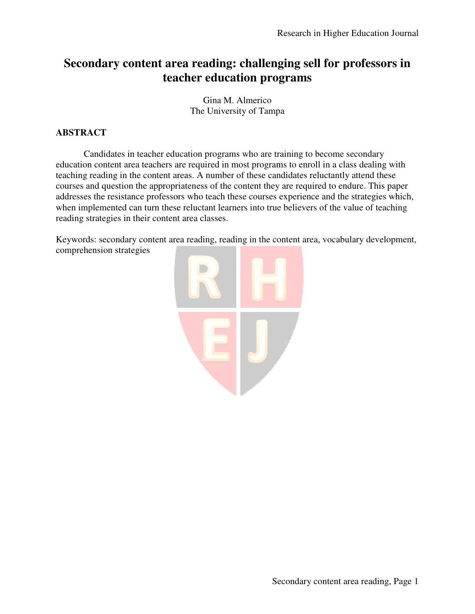# Secondary content area reading: challenging sell for professors in **teacher education programs**

Gina M. Almerico The University of Tampa

# **ABSTRACT**

Candidates in teacher education programs who are training to become secondary education content area teachers are required in most programs to enroll in a class dealing with teaching reading in the content areas. A number of these candidates reluctantly attend these courses and question the appropriateness of the content they are required to endure. This paper Candidates in teacher education programs who are training to become secondary education content area teachers are required in most programs to enroll in a class dealing with teaching reading in the content areas. A number when implemented can turn these reluctant learners into true believers of the value of teaching reading strategies in their content area classes.

Keywords: secondary content area reading, reading in the content area, vocabulary development, comprehension strategies

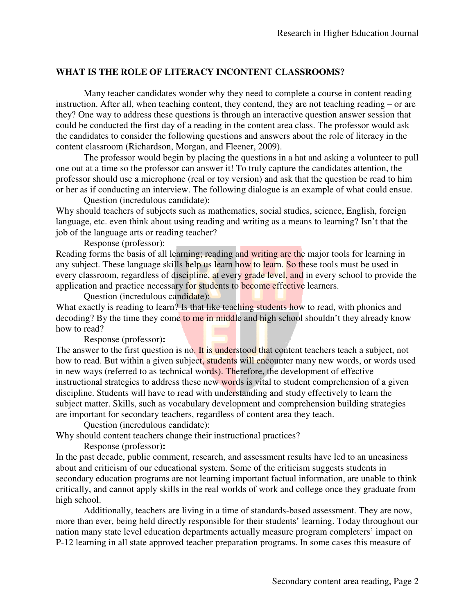# **WHAT IS THE ROLE OF LITERACY INCONTENT CLASSROOMS INCONTENT CLASSROOMS?**

Many teacher candidates wonder why they need to complete a course in content reading Many teacher candidates wonder why they need to complete a course in content reading instruction. After all, when teaching content, they contend, they are not teaching reading – or are they? One way to address these questions is through an interactive question answer session that could be conducted the first day of a reading in the content area class. The professor would ask the candidates to consider the following questions and answers about the role of literacy in the content classroom (Richardson, Morgan, and Fleener, 2009) address these questions is through an interactive question<br>d the first day of a reading in the content area class. The p<br>onsider the following questions and answers about the rol<br>(Richardson, Morgan, and Fleener, 2009).

The professor would begin by placing the questions in a hat and asking a volunteer to pull one out at a time so the professor can answer it! To truly capture the candidates attention, the one out at a time so the professor can answer it! To truly capture the candidates attention, the professor should use a microphone (real or toy version) and ask that the question be read to him or her as if conducting an interview. The following dialogue is an example of what could ensue.

Question (incredulous candidate):

Why should teachers of subjects such as mathematics, social studies, science, English, foreign language, etc. even think about using reading and writing as a means to learning? Isn't that the job of the language arts or reading teacher? language, etc. even think about using reading and writing as a means to learning?<br>
job of the language arts or reading teacher?<br>
Response (professor):<br>
Reading forms the basis of all learning; reading and writing are the m h as mathematics, social studies, science, English, foreign<br>g reading and writing as a means to learning? Isn't that the<br>eacher?<br>ng; reading and writing are the major tools for learning in

Response (professor):

any subject. These language skills help us learn how to learn. So these tools must be used in any subject. These language skills help us learn how to learn. So these tools must be used in<br>every classroom, regardless of discipline, at every grade level, and in every school to provide the application and practice necessary for students to become effective learners.

Question (incredulous candidate): What exactly is reading to learn? Is that like teaching students how to read, with phonics and application and practice necessary for students to become effective learners.<br>Question (incredulous candidate):<br>What exactly is reading to learn? Is that like teaching students how to read, with phonics and<br>decoding? By th how to read?

Response (professor)**:**

The answer to the first question is no. It is understood that content teachers teach a subject, not how to read. But within a given subject, students will encounter many new words, or words used in new ways (referred to as technical words). Therefore, the development of effective instructional strategies to address these new words is vital to student comprehension of a given instructional strategies to address these new words is vital to student comprehension of a gi<br>discipline. Students will have to read with understanding and study effectively to learn the subject matter. Skills, such as vocabulary development and comprehension building strategies are important for secondary teachers, regardless of content area they teach. is in middle and high school shouldn't they already know<br> **t** is understood that content teachers teach a subject, not<br> **t**, students will encounter many new words, or words use<br>
ords). Therefore, the development of effect

Question (incredulous candidate):

Why should content teachers change their instructional practices?

Response (professor)**:** 

In the past decade, public comment, research, and assessment results have led to about and criticism of our educational system. Some of the criticism suggests students in secondary education programs are not learning important factual information, are unable to think critically, and cannot apply skills in the real worlds of work and college once they graduate from high school. y, and cannot apply skills in the real worlds of work and college once they graduate from<br>hool.<br>Additionally, teachers are living in a time of standards-based assessment. They are now, incredulous candidate):<br>nt teachers change their instructional practices?<br>(professor):<br>, public comment, research, and assessment results have led to an une<br>n of our educational system. Some of the criticism suggests stude

more than ever, being held directly responsible for their students' learning. Today throughout our nation many state level education departments actually measure program completers' impact on nation many state level education departments actually measure program completers' impact on<br>P-12 learning in all state approved teacher preparation programs. In some cases this measure of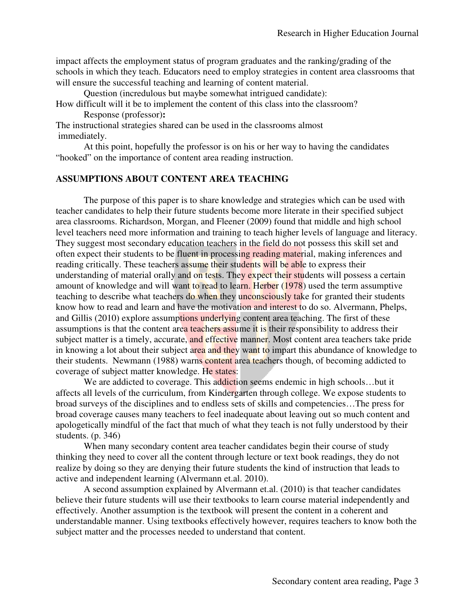impact affects the employment status of program graduates and the ranking/grading of the schools in which they teach. Educators Educators need to employ strategies in content area classrooms that will ensure the successful teaching and learning of content material. eed to employ strategies in content area classrooms th<br>
rearning of content material.<br>
somewhat intrigued candidate):<br>
content of this class into the classroom?<br>
e used in the classrooms almost<br>
ssor is on his or her way t

Question (incredulous but maybe somewhat intrigued candidate):

How difficult will it be to implement the content of this class into the classroom? Response (professor)**:** 

The instructional strategies shared can be used in the classrooms almost immediately.

At this point, hopefully the professor is on his or her way to having the candidates d" on the importance of content area reading instruction. "hooked" on the importance of content area reading instruction.

#### **ASSUMPTIONS ABOUT CONTENT AREA TEACHING SSUMPTIONS**

The purpose of this paper is to share knowledge and strategies which can teacher candidates to help their future students become more literate in their specified subject area classrooms. Richardson, Morgan, and Fleener (2009) found that that middle and high school level teachers need more information and training to teach higher levels of language and literacy. level teachers need more information and training to teach higher levels of language and liter<br>They suggest most secondary education teachers in the field do not possess this skill set and often expect their students to be fluent in processing reading material, making inferences and reading critically. These teachers assume their students will be able to express their understanding of material orally and on tests. They expect their students will possess a certain amount of knowledge and will want to read to learn. Herber (1978) used the term assumptive teaching to describe what teachers do when they unconsciously take for granted their students understanding of material orally and on tests. They expect their students will possess a certain<br>amount of knowledge and will want to read to learn. Herber (1978) used the term assumptive<br>teaching to describe what teachers and Gillis (2010) explore assumptions underlying content area teaching. The first of these assumptions is that the content area teachers assume it is their responsibility to address their subject matter is a timely, accurate, and effective manner. Most content area teachers take pride subject matter is a timely, accurate, and effective manner. Most content area teachers take pride<br>in knowing a lot about their subject area and they want to impart this abundance of knowledge to their students. Newmann (1988) warns content area teachers though, of becoming addicted to coverage of subject matter knowledge. He states: skill set and<br>ferences and<br>eir<br>ssess a certain<br>n assumptive<br>their students

We are addicted to coverage. This addiction seems endemic in high schools...but it We are addicted to coverage. This addiction seems endemic in high schools...but it affects all levels of the curriculum, from Kindergarten through college. We expose students to broad surveys of the disciplines and to endless sets of skills and competencies…The press for broad coverage causes many teachers to feel inadequate about leaving out so much content and broad coverage causes many teachers to feel inadequate about leaving out so much content and<br>apologetically mindful of the fact that much of what they teach is not fully understood by their students. (p. 346) ough college. We expose students t<br>Is and competencies...The press fo<br>bout leaving out so much content as<br>teach is not fully understood by the<br>dates begin their course of study<br>or text book readings, they do not

When many secondary content area teacher candidates begin their course of study thinking they need to cover all the content through lecture or text book readings, they do realize by doing so they are denying their future students the kind of instruction that leads to active and independent learning (Alvermann et.al. 2010). by doing so they are denying their future students the kind of instruction that leads to nd independent learning (Alvermann et.al. 2010).<br>A second assumption explained by Alvermann et.al. (2010) is that teacher candidates

believe their future students will use their textbooks to learn course material independently and believe their future students will use their textbooks to learn course material independently effectively. Another assumption is the textbook will present the content in a coherent and understandable manner. Using textbooks effectively however, requires teachers t subject matter and the processes needed to understand that content. the processes needed to understand that content.<br>Secondary content area reading, Page 3 is that teacher candidates<br>material independently and<br>tent in a coherent and<br>res teachers to know both the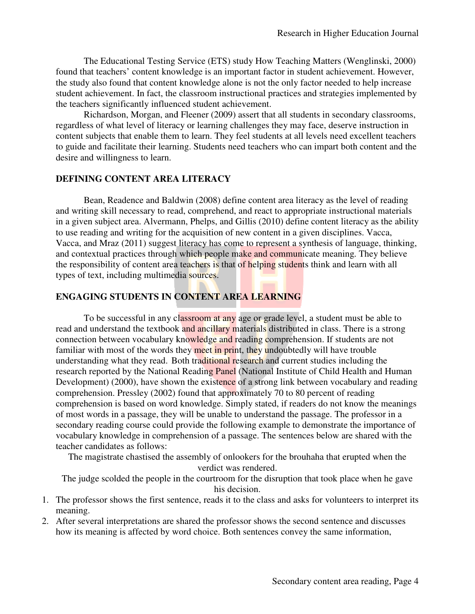The Educational Testing Service (ETS) study How Teaching Matters (Wenglinski, 2000) found that teachers' content knowledge is an important factor in student achievement. However, found that teachers' content knowledge is an important factor in student achievement. However, the study also found that content knowledge alone is not the only factor needed to help increase student achievement. In fact, the classroom instructional practices and strategies implemented by the teachers significantly influenced student achievement. the teachers significantly influenced student achievement.

Richardson, Morgan, and Fleener (2009) assert that all students in secondary classrooms, regardless of what level of literacy or learning challenges they may face, deserve instruction in Richardson, Morgan, and Fleener (2009) assert that all students in secondary classrooms, regardless of what level of literacy or learning challenges they may face, deserve instruction in content subjects that enable them t to guide and facilitate their learning. Students need teachers who can impart both content and the desire and willingness to learn.

#### **DEFINING CONTENT AREA LITERACY CONTENT AREA**

Bean, Readence and Baldwin (2008) define content area literacy as the level of reading and writing skill necessary to read, comprehend, and react to appropriate instructional materials and writing skill necessary to read, comprehend, and react to appropriate instructional materials<br>in a given subject area. Alvermann, Phelps, and Gillis (2010) define content literacy as the ability in a given subject area. Alvermann, Phelps, and Gillis (2010) define content literacy as the to use reading and writing for the acquisition of new content in a given disciplines. Vacca, to use reading and writing for the acquisition of new content in a given disciplines. Vacca, Vacca, vacca, Vacca, vacca, vacca, vacca, vacca, vacca, vacca, vacca, vacca, vacca, vacca, vacca, vacca, vacca, vacca, vacca, vac and contextual practices through which people make and communicate meaning. They believe the responsibility of content area teachers is that of helping students think and learn with all types of text, including multimedia sources. It through which people make and communicate meaning.<br>tent area teachers is that of helping students think and lea

# **ENGAGING STUDENTS IN CONTENT AREA LEARNING IN CONTENT**

To be successful in any classroom at any age or grade level, a student must be able to To be successful in any classroom at any age or grade level, a student must be able to read and understand the textbook and ancillary materials distributed in class. There is a strong read and understand the textbook and ancillary materials distributed in class. There is a stro<br>connection between vocabulary knowledge and reading comprehension. If students are not familiar with most of the words they meet in print, they undoubtedly will have trouble understanding what they read. Both traditional research and current studies including the familiar with most of the words they meet in print, they undoubtedly will have trouble<br>understanding what they read. Both traditional research and current studies including the<br>research reported by the National Reading Pan Development) (2000), have shown the existence of a strong link between vocabulary and reading comprehension. Pressley (2002) found that approximately 70 to 80 percent of reading comprehension is based on word knowledge. Simply stated, if readers do not know the meanings of most words in a passage, they will be unable to understand the passage. The professor in a secondary reading course could provide the following example to demonstrate the importance of vocabulary knowledge in comprehension of a passage. The sentences below are shared with the teacher candidates as follows: secondary reading course could provide the following example to demonstrate the importance of wocabulary knowledge in comprehension of a passage. The sentences below are shared with the teacher candidates as follows:<br>The m **unel** (National Institute of Child Heardington Child Heardington Controllance of a strong link between vocabured pproximately 70 to 80 percent of residingly stated, if readers do not know ble to understand the passage. Th

The magistrate chastised the assembly of onlookers for the brouhaha that erupted when the

The judge scolded the people in the courtroom for the disruption that took place when he gave his decision.

- 1. The professor shows the first sentence, reads it to the class and asks for volunteers to interpret its meaning. 1. The professor shows the first sentence, reads it to the class and asks for volunteers to interpret its meaning.<br>2. After several interpretations are shared the professor shows the second sentence and discusses
- how its meaning is affected by word choice. Both sentences convey the same information,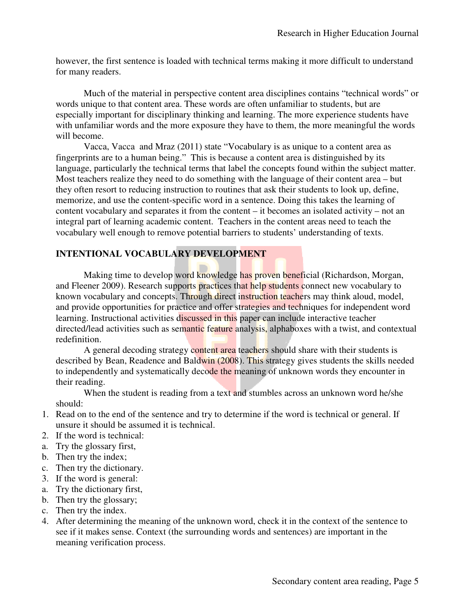however, the first sentence is loaded with technical terms making it more difficult to understand for many readers. In the first sentence is loaded with technical terms making it more difficult to understand<br>Much of the material in perspective content area disciplines contains "technical words" or

words unique to that content area. These words are often unfamiliar to students, but are especially important for disciplinary thinking and learning. The more experience students have with unfamiliar words and the more exposure they have to them, the more meaningful the words will become. for disciplinary thinking and learning. The more experience students<br>Is and the more exposure they have to them, the more meaningful the<br>and Mraz (2011) state "Vocabulary is as unique to a content area as

Vacca, Vacca and Mraz (2011) state "Vocabulary is as unique to a content area as fingerprints are to a human being." This is because a content area is distinguished by its language, particularly the technical terms that label the concepts found within the subject matter. Most teachers realize they need to do something with the language of their content area they often resort to reducing instruction to routines that ask their students to look up, define, memorize, and use the content-specific word in a sentence. Doing this takes the learning of content vocabulary and separates it from the content – it becomes an isolated activity – not an integral part of learning academic content. Teachers in the content areas need to teach the integral part of learning academic content. Teachers in the content areas need to teach the vocabulary well enough to remove potential barriers to students' understanding of texts. intricularly the technical terms that label the concepts found within the subject m<br>rs realize they need to do something with the language of their content area – bi<br>sort to reducing instruction to routines that ask their – but

# **INTENTIONAL VOCABULARY DEVELOPMENT INTENTIONAL VOCABULARY DEVELOPMENT**

Naking time to develop word knowledge has proven beneficial (Richardson, Morgan, Making time to develop word knowledge has proven beneficial (Richardson, Morgan, and Fleener 2009). Research supports practices that help students connect new vocabulary to known vocabulary and concepts. Through direct instruction teachers may think aloud, model, and provide opportunities for practice and offer strategies and techniques for independent word learning. Instructional activities discussed in this paper can include interactive teacher learning. Instructional activities discussed in this paper can include interactive teacher<br>directed/lead activities such as semantic feature analysis, alphaboxes with a twist, and contextual redefinition. nd concepts. Through direct instruction teachers may think aloud,<br>nities for practice and offer strategies and techniques for independe<br>al activities discussed in this paper can include interactive teacher

A general decoding strategy content area teachers should share with their students is described by Bean, Readence and Baldwin (2008). This strategy gives students the skills needed to independently and systematically decode the meaning of unknown words they encounter in their reading. strategy gives students the skills is<br>the state of unknown words they encounter<br>ables across an unknown word here<br>of the word is technical or general.<br>the word is technical or general.<br>eck it in the context of the senten<br>d

When the student is reading from a text and stumbles across an unknown word he/she should:

- 1. Read on to the end of the sentence and try to determine if the word is technical or general. If unsure it should be assumed it is technical. m a text and stumbles across an unknown word he/she<br>try to determine if the word is technical or general. If<br>cal.
- 2. If the word is technical:
- a. Try the glossary first,
- b. Then try the index;
- c. Then try the dictionary.
- 3. If the word is general:
- a. Try the dictionary first,
- b. Then try the glossary;
- c. Then try the index.
- 4. After determining the meaning of the unknown word, check it in the context of the sentence to see if it makes sense. Context (the surrounding words and sentences) are important i meaning verification process.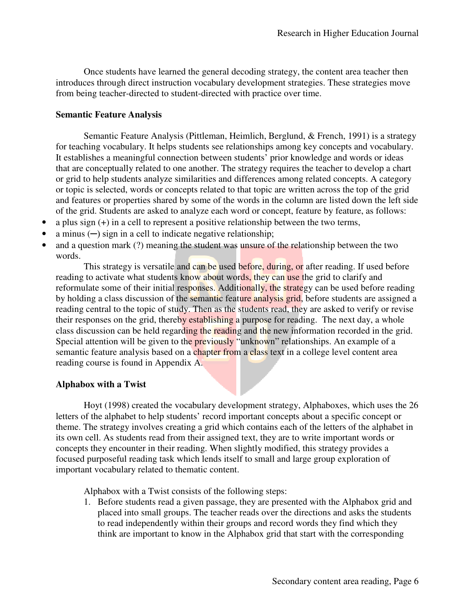Once students have learned the general decoding strategy, the content area teacher then introduces through direct instruction vocabulary development strategies. These strategies move introduces through direct instruction vocabulary development strategies. These from being teacher-directed to student-directed with practice over time.

#### **Semantic Feature Analysis**

Semantic Feature Analysis (Pittleman, Heimlich, Berglund, & French, 1991) is a strategy for teaching vocabulary. It helps students see relationships among key concepts and vocabulary. It establishes a meaningful connection between students' prior knowledge and words or ideas for teaching vocabulary. It helps students see relationships among key concepts and vocabulary.<br>It establishes a meaningful connection between students' prior knowledge and words or ideas<br>that are conceptually related to o or grid to help students analyze similarities and differences among related concepts. A category or topic is selected, words or concepts related to that topic are written across the top of the grid and features or properties shared by some of the words in the column are listed down the left side of the grid. Students are asked to analyze each word or concept, feature by feature, as follows: es shared by some of the words in the column are listed dow:<br>asked to analyze each word or concept, feature by feature,<br>to represent a positive relationship between the two terms,

- a plus sign  $(+)$  in a cell to represent a positive relationship between the two terms,
- a minus  $(-)$  sign in a cell to indicate negative relationship;
- and a question mark (?) meaning the student was unsure of the relationship between the two words.

This strategy is versatile and can be used before, during, or after reading. If used before reading to activate what students know about words, they can use the grid to clarify and reformulate some of their initial responses. Additionally, the strategy can be used before reading and a question mark (?) meaning the student was unsure of the relationship between the two words.<br>
This strategy is versatile and can be used before, during, or after reading. If used before reading to activate what studen reading central to the topic of study. Then as the students read, they are asked to verify or revise their responses on the grid, thereby establishing a purpose for reading. The next day, a whole class discussion can be held regarding the reading and the new information recorded in the grid. class discussion can be held regarding the reading and the new information recorded in the g<br>Special attention will be given to the previously "unknown" relationships. An example of a semantic feature analysis based on a chapter from a class text in a college level content area reading course is found in Appendix A.

# **Alphabox with a Twist**

Hoyt (1998) created the vocabulary development strategy, Alphaboxes, which uses the 26 letters of the alphabet to help students' record important concepts about a specific concept or theme. The strategy involves creating a grid which contains each of the letters of the alphabet in theme. The strategy involves creating a grid which contains each of the letters of the alphabet in its own cell. As students read from their assigned text, they are to write important words or concepts they encounter in their reading. When slightly modified, this strategy provides a focused purposeful reading task which lends itself to small and large group exploration of important vocabulary related to thematic content. record important concepts about a specific concept or<br>grid which contains each of the letters of the alphabet in<br>r assigned text, they are to write important words or<br>g. When slightly modified, this strategy provides a<br>len

Alphabox with a Twist consists of the following steps:

Alphabox with a Twist consists of the following steps:<br>1. Before students read a given passage, they are presented with the Alphabox placed into small groups. The teacher reads over the directions and asks the students placed into small groups. The teacher reads over the directions and asks the stude<br>to read independently within their groups and record words they find which they think are important to know in the Alphabox grid that start with the corresponding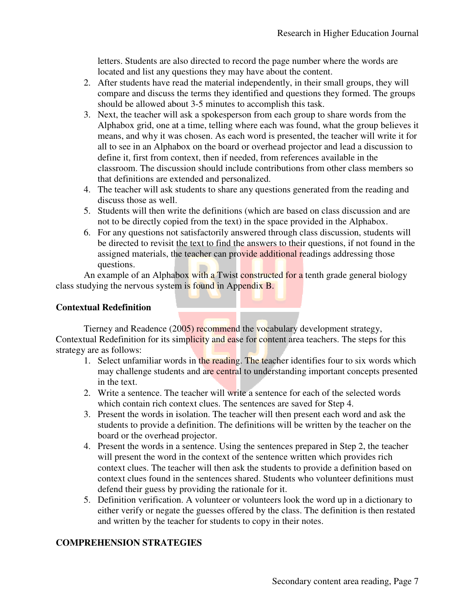letters. Students are also directed to record the page number where the words are located and list any questions they may have about the content.

- 2. After students have read the material independently, in their small groups, they will letters. Students are also directed to record the page number where the words are<br>located and list any questions they may have about the content.<br>After students have read the material independently, in their small groups, should be allowed about 3 3-5 minutes to accomplish this task.
- 3. Next, the teacher will ask a spokesperson from each group to share words from the Next, the teacher will ask a spokesperson from each group to share words from the Alphabox grid, one at a time, telling where each was found, what the group believes it means, and why it was chosen. As each word is presented, the teacher will write it for all to see in an Alphabox on the board or overhead projector and lead a discussion to define it, first from context, then if needed, from references available in the define it, first from context, then if needed, from references available in the classroom. The discussion should include contributions from other class members so classroom. The discussion should include contra<br>that definitions are extended and personalized. %, from references available in the<br>contributions from other class members so<br>zed.<br>questions generated from the reading and<br>hich are based on class discussion and are
- 4. The teacher will ask students to share any questions generated from the reading and discuss those as well.
- 5. Students will then write the definitions (which are based on class discussion a discuss those as well.<br>Students will then write the definitions (which are based on class discussion ar<br>not to be directly copied from the text) in the space provided in the Alphabox.
- 6. For any questions not satisfactorily answered through class discussion, students will be directed to revisit the text to find the answers to their questions, if not found in the assigned materials, the teacher can provide additional readings addressing those questions. satisfactorily answered through class discussion, students will<br>the text to find the answers to their questions, if not found in the<br>teacher can provide additional readings addressing those<br>ox with a Twist constructed for

An example of an Alphabox with a Twist constructed for a tenth grade general biology class studying the nervous system is found in Appendix B.

# **Contextual Redefinition**

Tierney and Readence (2005) recommend the vocabulary development strategy, Tierney and Readence (2005) recommend the vocabulary development strategy,<br>Contextual Redefinition for its simplicity and ease for content area teachers. The steps for this strategy are as follows: a tenth grade general biology<br>development strategy,<br>ca teachers. The steps for this<br>entifies four to six words which

- 1. Select unfamiliar words in the reading. The teacher identifies four to six in the text.
- may challenge students and are central to understanding important concepts presented<br>in the text.<br>Write a sentence. The teacher will write a sentence for each of the selected words<br>which contain rich context clues. The sen 2. Write a sentence. The teacher will write a sentence for each of the selected words which contain rich context clues. The sentences are saved for Step 4.
- 3. Present the words in isolation. The teacher will then present each word and ask the students to provide a definition. The definitions will be written by the teacher on the board or the overhead projector. 4. Present the words in isolation. The teacher will then present each word and ask the students to provide a definition. The definitions will be written by the teacher on the board or the overhead projector.<br>4. Present the
- will present the word in the context of the sentence written which provides rich context clues. The teacher will then ask the students to provide a definition based on context clues found in the sentences shared. Students who volunteer definitions must defend their guess by providing the rationale for it. tences prepared in Step 2, the teacher<br>tence written which provides rich<br>idents to provide a definition based on<br>tudents who volunteer definitions must
- 5. Definition verification. A volunteer or volunteers look the word up in a dictionary to either verify or negate the guesses offered by the class. The definition is then restated and written by the teacher for students to copy in their notes. their guess by providing the rationale for it.<br>
ion verification. A volunteer or volunteers look the word up in a<br>
erify or negate the guesses offered by the class. The definition is<br>
iten by the teacher for students to co

# **COMPREHENSION STRATEGIES STRATEGIES**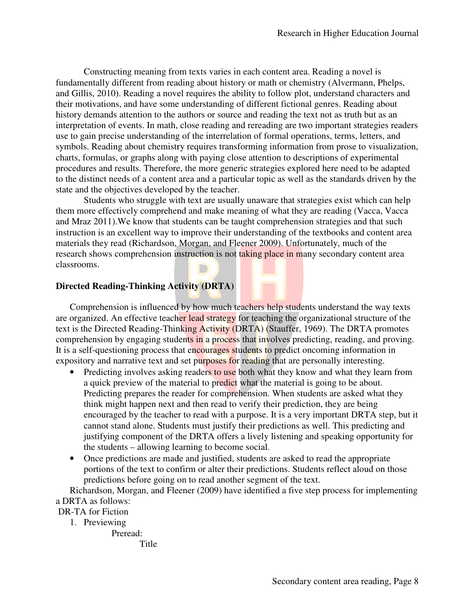Constructing meaning from texts varies in each content area. Reading a novel is Constructing meaning from texts varies in each content area. Reading a novel is fundamentally different from reading about history or math or chemistry (Alvermann, Phelps, and Gillis, 2010). Reading a novel requires the ability to follow plot, understand characters and their motivations, and have some understanding of different fictional genres. Reading about history demands attention to the authors or source and reading the text not as truth but as an interpretation of events. In math, close reading and rereading are two important strategies readers use to gain precise understanding of the interrelation of formal operations, terms, letters, and symbols. Reading about chemistry requires transforming information from prose to visualization, use to gain precise understanding of the interrelation of formal operations, terms, letters, and<br>symbols. Reading about chemistry requires transforming information from prose to visualiza<br>charts, formulas, or graphs along procedures and results. Therefore, Therefore, the more generic strategies explored here need to be adapted to the distinct needs of a content area and a particular topic as well as the standards driven by the state and the objectives developed by the teacher. distinct needs of a content area and a particular topic as well as the standards driven l<br>nd the objectives developed by the teacher.<br>Students who struggle with text are usually unaware that strategies exist which can ). Reading a novel requires the ability to follow plot, understand characters and s, and have some understanding of different fictional genres. Reading about as truth but as an attention to the authors or source and readin urce and reading the text not as truth but as an<br>g and rereading are two important strategies reader<br>elation of formal operations, terms, letters, and<br>ansforming information from prose to visualization<br>close attention to d

them more effectively comprehend and make meaning of what they are reading (Vacca, Vacca and Mraz 2011).We know that students can be taught comprehension strategies and that such and Mraz 2011). We know that students can be taught comprehension strategies and that such instruction is an excellent way to improve their understanding of the textbooks and content area materials they read (Richardson, Morgan, and Fleener 2009). Unfortunately, much of the research shows comprehension instruction is not taking place in many secondary content area classrooms. standing of the textbooks and content area<br>
in 2009). Unfortunately, much of the<br> **in g place in many** secondary content area<br> **in the promotes**<br> **example in the promotes**<br> **example in the promotes**<br> **A**) (Stauffer, 1969).

# **Directed Reading-Thinking Activity (DRTA)**

Comprehension is influenced by how much teachers help students understand the way texts are organized. An effective teacher lead strategy for teaching the organizational structure of the Comprehension is influenced by how much teachers help students understand the way texts<br>are organized. An effective teacher lead strategy for teaching the organizational structure of the<br>text is the Directed Reading-Thinki comprehension by engaging students in a process that involves predicting, reading, and proving. It is a self-questioning process that encourages students to predict oncoming information in expository and narrative text and set purposes for reading that are personally interesting.

- Predicting involves asking readers to use both what they know and what they learn from a quick preview of the material to predict what the material is going to be about. Predicting prepares the reader for comprehension. When students are asked what they think might happen next and then read to verify their prediction, they are being encouraged by the teacher to read with a purpose. It is a very important DRTA step, but it cannot stand alone. Students must justify their predictions as well. This predicting and justifying component of the DRTA offers a lively listening and speaking opportunity for the students – allowing learning to become social. questioning process that encourages students to predict oncoming information in<br>and narrative text and set purposes for reading that are personally interesting.<br>dicting involves asking readers to use both what they know an
- Once predictions are made and justified, students are asked to read the appropriate Once predictions are made and justified, students are asked to read the appropriate portions of the text to confirm or alter their predictions. Students reflect aloud on those predictions before going on to read another segment of the text. portions of the text to confirm or alter their predictions. Students reflect aloud on those<br>predictions before going on to read another segment of the text.<br>Richardson, Morgan, and Fleener (2009) have identified a five ste

a DRTA as follows:

# DR-TA for Fiction

1. Previewing

Preread:

Title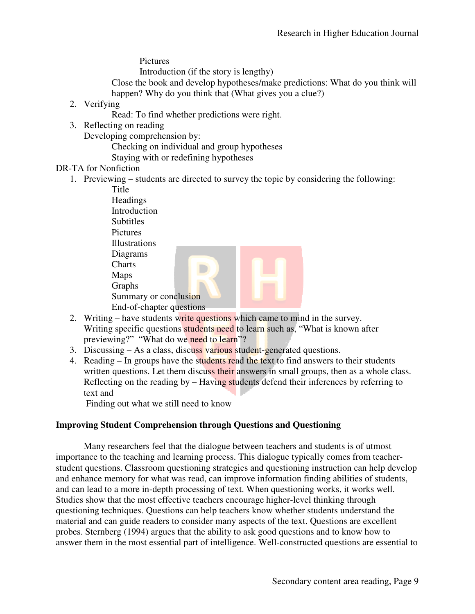**Pictures** 

Introduction (if the story is lengthy)

Close the book and develop hypotheses/make predictions: What do you think will happen? Why do you think that (What gives you a clue?) happen? Why do you think that (What gives you a clue?)

- 2. Verifying
	- Read: To find whether predictions were right.
- 3. Reflecting on reading

Developing comprehension by:

Checking on individual and group hypotheses

Staying with or redefining hypotheses

# DR-TA for Nonfiction

1. Previewing – students are directed to survey the topic by considering the following:

 Title **Headings**  Introduction **Subtitles**  Pictures Illustrations Diagrams **Charts**  Maps Graphs Summary or conclusion End-of-chapter questions to survey the topic by considering the formulations<br>
s<br>
s<br>
is to survey or conclusion<br>
chapter questions<br>
students write questions<br>
which came to mind in the survey.

- 2. Writing have students write questions which came to mind in the survey. Writing specific questions students need to learn such as, "What is known after previewing?" "What do we need to learn"?
- 3. Discussing As a class, discuss various student-generated questions.
- 4. Reading In groups have the students read the text to find answers to their students written questions. Let them discuss their answers in small groups, then as a whole class. Reflecting on the reading by – Having students defend their inferences by referring to text and ps have the students read the text to find answers to their students<br>Let them discuss their answers in small groups, then as a whole clas<br>reading by – Having students defend their inferences by referring to

Finding out what we still need to know

# **Improving Student Comprehension through Questions and Questioning**

Many researchers feel that the dialogue between teachers and students is of utmost Many researchers feel that the dialogue between teachers and students is of utmost<br>importance to the teaching and learning process. This dialogue typically comes from teacherstudent questions. Classroom questioning strategies and questioning instruction can help develop and enhance memory for what was read, can improve information finding abilities of students, and can lead to a more in-depth processing of text. When questioning works, it works well. Studies show that the most effective teachers encourage higher-level thinking through questioning techniques. Questions can help teachers know whether students understand the questioning techniques. Questions can help teachers know whether students understand the material and can guide readers to consider many aspects of the text. Questions are excellent probes. Sternberg (1994) argues that the ability to ask good questions and to know how to answer them in the most essential part of intelligence. Well-constructed questions are essential to student questions. Classroom questioning strategies and questioning instruction can he<br>and enhance memory for what was read, can improve information finding abilities of s<br>and can lead to a more in-depth processing of text S encourage higher-level thin<br>teachers know whether stude<br>nany aspects of the text. Que<br>lity to ask good questions an<br>telligence. Well-constructed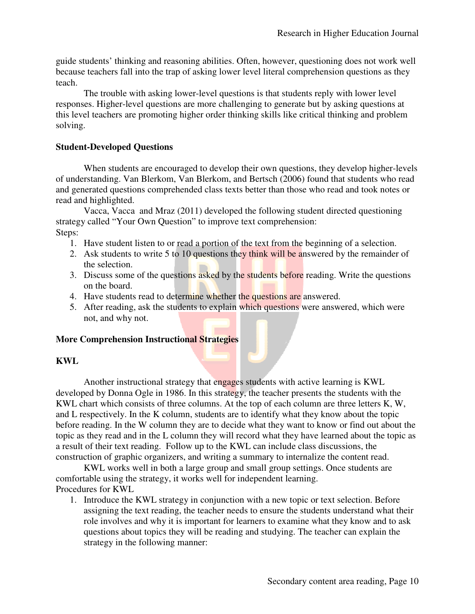guide students' thinking and reasoning abilities. Often, however, questioning does not work well guide students' thinking and reasoning abilities. Often, however, questioning does not work wel<br>because teachers fall into the trap of asking lower level literal comprehension questions as they teach.

The trouble with asking lower-level questions is that students reply with lower level responses. Higher-level questions are more challenging to generate but by asking questions at this level teachers are promoting higher order thinking skills like critical thinking and problem solving.

#### **Student-Developed Questions**

When students are encouraged to develop their own questions, they develop higher-levels of understanding. Van Blerkom, Van Blerkom, and Bertsch (2006) found that students who read of understanding. Van Blerkom, Van Blerkom, and Bertsch (2006) found that students who read<br>and generated questions comprehended class texts better than those who read and took notes or read and highlighted.

Vacca, Vacca and Mraz (2011) developed the following student directed questioning strategy called "Your Own Question" to improve text comprehension: Steps:

- 1. Have student listen to or read a portion of the text from the beginning of a selection.
- 2. Ask students to write 5 to 10 questions they think will be answered by the remainder of the selection.
- 3. Discuss some of the questions asked by the students before reading. Write the questions on the board. the students before reading. Write the questions<br>the students before reading. Write the questions<br>with active answered, which were<br>sessed with active learning is KWL
- 4. Have students read to determine whether the questions are answered.
- 5. After reading, ask the students to explain which questions were answered, which were not, and why not.

#### **More Comprehension Instructional Strategies**

#### **KWL**

Another instructional strategy that engages students with active learning is KWL developed by Donna Ogle in 1986. In this strategy, the teacher presents the students with the KWL chart which consists of three columns. At the top of each column are three letters K, W, and L respectively. In the K column, students are to identify what they know about the topic before reading. In the W column they are to decide what they want to know or find out about the topic as they read and in the L column they will record what they have learned about the topic as a result of their text reading. Follow up to the KWL can include class discussions, the construction of graphic organizers, and writing a summary to internalize the content read. eloped by Donna Ogle in 1986. In this strategy, the teacher presents the students with the L chart which consists of three columns. At the top of each column are three letters K, W<br>L respectively. In the K column, students g student directed questioning<br>
ension:<br>
the beginning of a selection.<br> **lect a** answered by the remainder of<br> **ore** reading. Write the questions<br> **are** answered.<br> **ms** were answered, which were<br> **ns** were answered, which

KWL works well in both a large group and small group settings. Once students are comfortable using the strategy, it works well for independent learning. Procedures for KWL

1. Introduce the KWL strategy in conjunction with a new topic or text selection. Before assigning the text reading, the teacher needs to ensure the students understand what their role involves and why it is important for learners to examine what they know and to ask questions about topics they will be reading and studying. The teacher can explain the strategy in the following manner: f their text reading. Follow up to the KWL can include class discussions, the<br>ion of graphic organizers, and writing a summary to internalize the content read.<br>WL works well in both a large group and small group settings.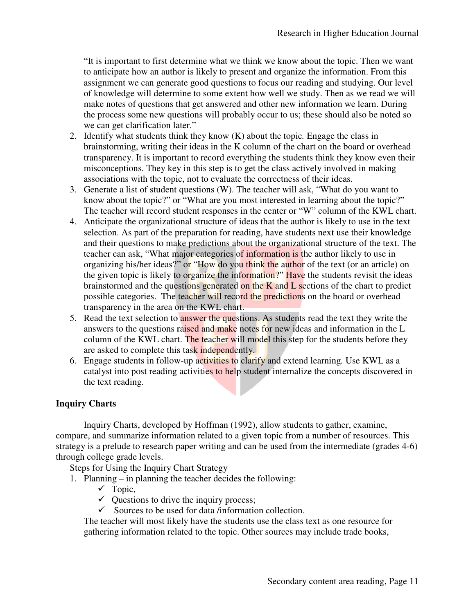"It is important to first determine what we think we know about the topic. Then we want to anticipate how an author is likely to present and organize the information. From this assignment we can generate good questions to focus our reading and studying. Our level of knowledge will determine to some extent how well we study. Then as we read we will make notes of questions that get answered and other new information we learn. During the process some new questions will probably occur to us; these should also we can get clarification later." ke notes of questions that get answered and other new information we learn.<br>process some new questions will probably occur to us; these should also be a<br>can get clarification later."<br>ntify what students think they know (K) t we think we know about the topic. Then we want<br>to present and organize the information. From this<br>stions to focus our reading and studying. Our level<br>extent how well we study. Then as we read we will<br>ered and other new i

- 2. Identify what students think they know  $(K)$  about the topic. Engage the class in brainstorming, writing their ideas in the K column of the chart on the board or overhead Identify what students think they know (K) about the topic. Engage the class in<br>brainstorming, writing their ideas in the K column of the chart on the board or overhead<br>transparency. It is important to record everything th misconceptions. They key in this step is to get the class actively involved in making associations with the topic, not to evaluate the correctness of their ideas. misconceptions. They key in this step is to get the class actively involved in making<br>associations with the topic, not to evaluate the correctness of their ideas.<br>3. Generate a list of student questions (W). The teacher wi
- know about the topic?" or "What are you most interested in learning about the topic?" The teacher will record student responses in the center or "W" column of the KWL chart.
- 4. Anticipate the organizational structure of ideas that the author is likely to use in the text selection. As part of the preparation for reading, have students next use their knowledge and their questions to make predictions about the organizational structure of the text. The teacher can ask, "What major categories of information is the author likely to use in organizing his/her ideas?" or "How do you think the author of the text (or an article) on the given topic is likely to organize the information?" Have the students revisit the ideas brainstormed and the questions generated on the K and  $L$  sections of the chart to predict possible categories. The teacher will record the predictions on the board or overhead transparency in the area on the KWL chart. ow about the topic?" or "What are you most interested in learning about the topic?"<br>e teacher will record student responses in the center or "W" column of the KWL cha<br>ticipate the organizational structure of ideas that the you think the author of the text (or an article) on<br>information?" Have the students revisit the ideas<br>ed on the K and L sections of the chart to predict on is the author likely to use in<br>
uuthor of the text (or an article) on<br>
Have the students revisit the ideas<br>
d L sections of the chart to predict<br>
ctions on the board or overhead<br>
udents read the text they write the<br>
w
- 5. Read the text selection to answer the questions. As students read the text they write the answers to the questions raised and make notes for new ideas and information in the L column of the KWL chart. The teacher will model this step for the students before they are asked to complete this task independently. are asked to complete this task independently.
- 6. Engage students in follow-up activities to clarify and extend learning. Use KWL as a catalyst into post reading activities to help student internalize the concepts discovered in the text reading.<br>W Charts<br>Inquiry Charts, developed by Hoffman (1992), allow students to gather, examine, the text reading.

# **Inquiry Charts**

Inquiry Charts, developed by Hoffman (1992), allow students to gather, examine, compare, and summarize information related to a given topic from a number of resources. This compare, and summarize information related to a given topic from a number of resources. This strategy is a prelude to research paper writing and can be used from the intermediate (grades 4-6) through college grade levels.

Steps for Using the Inquiry Chart Strategy

- 1. Planning in planning the teacher decides the following: or Using the Inquiry Chart Strategy<br>  $\begin{aligned}\n\mathbf{v} \rightarrow \mathbf{V} \\
\mathbf{v} \rightarrow \mathbf{V}\n\end{aligned}$ <br>  $\begin{aligned}\n\mathbf{v} \rightarrow \mathbf{V}\n\end{aligned}$ <br>  $\begin{aligned}\n\mathbf{v} \rightarrow \mathbf{V}\n\end{aligned}$   $\begin{aligned}\n\mathbf{v} \rightarrow \mathbf{V}\n\end{aligned}$   $\begin{aligned}\n\mathbf{v} \rightarrow \mathbf{V}\n\end{aligned}$   $\begin{aligned}\n\mathbf{v} \rightarrow \mathbf{V}\n$ 
	- $\checkmark$  Topic,
	-
	- $\checkmark$  Sources to be used for data /information collection.

The teacher will most likely have the students use the class text as one resource for gathering information related to the topic. Other sources may include trade books,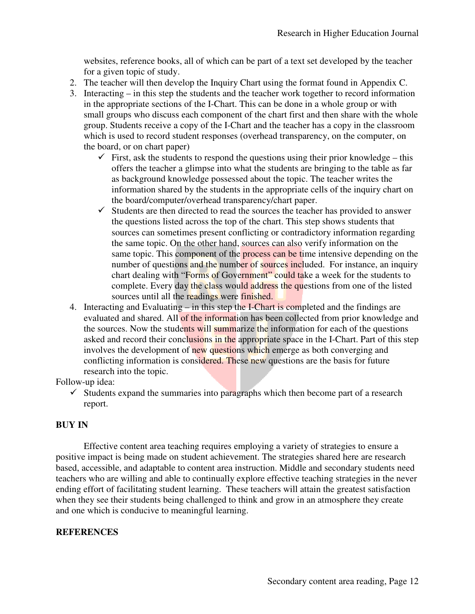websites, reference books, all of which can be part of a text set developed by the teacher for a given topic of study.

- 2. The teacher will then develop the Inquiry Chart using the format found in Appendix C.
- 3. Interacting in this step the students and the teacher work together to record information Interacting – in this step the students and the teacher work together to record information the appropriate sections of the I-Chart. This can be done in a whole group or with small groups who discuss each component of the chart first and then share with the whole small groups who discuss each component of the chart first and then share with the whole<br>group. Students receive a copy of the I-Chart and the teacher has a copy in the classroom which is used to record student responses (overhead transparency, on the comp<br>the board, or on chart paper) the board, or on chart paper) hich can be part of a text set developed by the teache<br>nquiry Chart using the format found in Appendix C.<br>ts and the teacher work together to record informatic<br>Chart. This can be done in a whole group or with<br>nponent of th
	- $\checkmark$  First, ask the students to respond the questions using their prior knowledge this offers the teacher a glimpse into what the students are bringing to the table as far as background knowledge possessed about the topic. The teacher writes the information shared by the students in the appropriate cells of the inquiry chart on the board/computer/overhead transparency/chart paper. rest, ask the students to respond the questions using their prior knowledge -<br>Fers the teacher a glimpse into what the students are bringing to the table a<br>background knowledge possessed about the topic. The teacher writes
	- $\checkmark$  Students are then directed to read the sources the teacher has provided to answer the questions listed across the top of the chart. This step shows students that sources can sometimes present conflicting or contradictory information regarding the same topic. On the other hand, sources can also verify information on the same topic. This component of the process can be time intensive depending on the number of questions and the number of sources included. For instance, an inquiry chart dealing with "Forms of Government" could take a week for the students to chart dealing with "Forms of Government" could take a week for the students to complete. Every day the class would address the questions from one of the listed sources until all the readings were finished. information shared by the students in the appropriate cells of the inquiry chart on<br>the board/computer/overhead transparency/chart paper.<br>Students are then directed to read the sources the teacher has provided to answer<br>th bout the topic. The teacher writes the<br>the appropriate cells of the inquiry chart on<br>ency/chart paper.<br>sources the teacher has provided to answer<br>ne chart. This step shows students that<br>ting or contradictory information re
- sources until all the readings were finished.<br>4. Interacting and Evaluating in this step the I-Chart is completed and the findings are evaluated and shared. All of the information has been collected from prior knowledge and the sources. Now the students will summarize the information for each of the questions evaluated and shared. All of the information has been collected from prior knowledge and<br>the sources. Now the students will summarize the information for each of the questions<br>asked and record their conclusions in the appr involves the development of new questions which emerge as both converging and conflicting information is considered. These new questions are the basis for future research into the topic. Chart. Part of this sonverging and<br>pasis for future<br>e part of a research<br>tegies to ensure a<br>d here are research

Follow-up idea:

 $\checkmark$  Students expand the summaries into paragraphs which then become part of a research report.

# **BUY IN**

Effective content area teaching requires employing a variety of strategies to ensure a positive impact is being made on student achievement. The strategies shared here are research based, accessible, and adaptable to content area instruction. Middle and secondary students need teachers who are willing and able to continually explore effective teaching strategies in the never ending effort of facilitating student learning. These teachers will attain the greatest satisfaction when they see their students being challenged to think and grow in an atmosphere they create and one which is conducive to meaningful learning. conflicting information is considered. These new questions are the basis for future<br>research into the topic.<br>up idea:<br>Students expand the summaries into paragraphs which then become part of a research<br>report.<br>N<br>Effective c willing and able to continually explore effective teaching strategies in the neverticiating student learning. These teachers will attain the greatest satisfaction in students being challenged to think and grow in an atmosp

# **REFERENCES**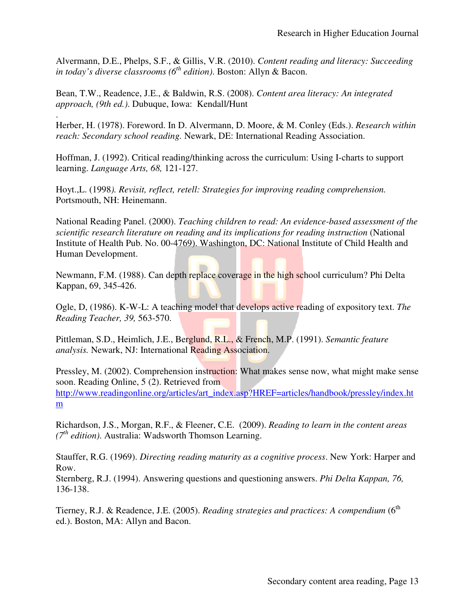Alvermann, D.E., Phelps, S.F., & Gillis, V.R. (2010). *Content reading and literacy: Succeeding in today's diverse classrooms (6th th edition)*. Boston: Allyn & Bacon.

Bean, T.W., Readence, J.E., & Baldwin, R.S. (2008). Content area literacy: An integrated *approach, (9th ed.)*. Dubuque, Iowa: Kendall/Hunt Alvermann, D.E., Phelps, S.F., & Gillis, V.R. (2010). *Content reading and literacy: Succeeding*<br> *in today's diverse classrooms* (6<sup>th</sup> edition). Boston: Allyn & Bacon.<br>
Bean, T.W., Readence, J.E., & Baldwin, R.S. (2008).

. *reach: Secondary school reading.* Newark, DE: International Reading Association.

Hoffman, J. (1992). Critical reading/thinking across the curriculum: Using I-charts to support learning. *Language Arts, 68,* 121 121-127.

Hoyt.,L. (1998*). Revisit, reflect, retell: Strat Strategies for improving reading comprehension.* Portsmouth, NH: Heinemann. Hoyt.,L. (1998). *Revisit, reflect, retell: Strategies for improving reading comprehension.*<br>Portsmouth, NH: Heinemann.<br>National Reading Panel. (2000). *Teaching children to read: An evidence-based assessment of the* 

*scientific research literature on reading and its implications for reading instruction* (National Institute of Health Pub. No. 00-4769). Washington, DC: National Institute of Child Health and Human Development.

Newmann, F.M. (1988). Can depth replace coverage in the high school curriculum? Phi Delta Kappan, 69, 345-426. 1974). Heinlich, No. 00-4769). Washington, DC: National Institute of Child Health<br>
1978). Can depth replace coverage in the high school curriculum? Phi<br>
1978–1986). K-W-L: A teaching model that develops active reading of e

Ogle, D, (1986). K-W-L: A teaching model that develops active reading of expository text. *The Reading Teacher, 39,* 563-570.

Pittleman, S.D., Heimlich, J.E., Berglund, R.L., & French, M.P. (1991). Semantic feature *analysis.* Newark, NJ: International Reading Association.

Pressley, M. (2002). Comprehension instruction: What makes sense now, what might make sense soon. Reading Online, 5 (2). Retrieved from http://www.readingonline.org/articles/art\_index.asp?HREF=articles/handbook/pressley/index.ht m (2002). Comprehension instruction: What makes sense now, what might make sense g Online, 5 (2). Retrieved from<br>eading online.org/articles/art\_index.asp?HREF=articles/handbook/pressley/index.ht<br>J.S., Morgan, R.F., & Fleener

Richardson, J.S., Morgan, R.F., & Fleener, C.E. (2009). Reading to learn in the content areas (7<sup>th</sup> edition). Australia: Wadsworth Thomson Learning.

Stauffer, R.G. (1969). *Directing reading maturity as a cognitive process*. New York: Harper and Row.

Sternberg, R.J. (1994). Answering questions and questioning answers. *Phi Delta Kappan, 76,* 136-138.

Tierney, R.J. & Readence, J.E. (2005). Reading strategies and practices: A compendium (6<sup>th</sup> ed.). Boston, MA: Allyn and Bacon.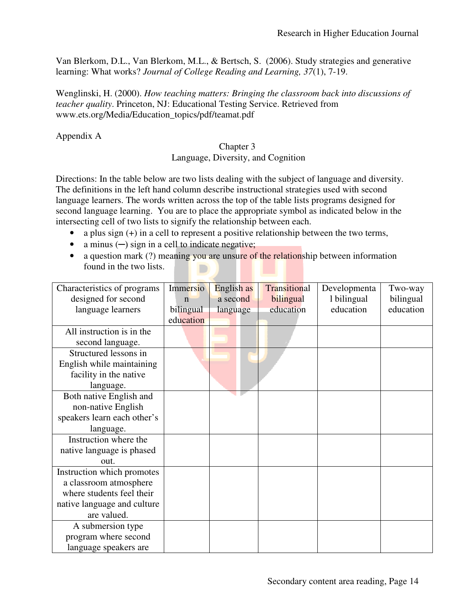Van Blerkom, D.L., Van Blerkom, M.L., & Bertsch, S. (2006). Study strategies and generative learning: What works? *Journal of College Reading and Learning*, 37(1), 7-19.

Wenglinski, H. (2000). How teaching matters: Bringing the classroom back into discussions of *teacher quality*. Princeton, NJ: Educational Testing Service. Retrieved from www.ets.org/Media/Education\_topics/pdf/teamat.pdf

Appendix A

#### Language, Diversity, and Cognition Chapter 3

Language, Diversity, and Cognition<br>Directions: In the table below are two lists dealing with the subject of language and diversity. The definitions in the left hand column describe instructional strategies used with second The definitions in the left hand column describe instructional strategies used with second<br>language learners. The words written across the top of the table lists programs designed for second language learning. You are to place the appropriate symbol as indicated below in the intersecting cell of two lists to signify the relationship between each. • a plus sign (+) in a cell to represent a positive relationship between each.<br>• a plus sign (+) in a cell to represent a positive relationship between the two terms,

- 
- a minus  $\left(\text{-}\right)$  sign in a cell to indicate negative;
- found in the two lists.

| a plus sign $(+)$ in a cell to represent a positive relationship between the two terms, |                         |            |              |              |           |  |  |
|-----------------------------------------------------------------------------------------|-------------------------|------------|--------------|--------------|-----------|--|--|
| a minus $(-)$ sign in a cell to indicate negative;                                      |                         |            |              |              |           |  |  |
| a question mark (?) meaning you are unsure of the relationship between information      |                         |            |              |              |           |  |  |
|                                                                                         | found in the two lists. |            |              |              |           |  |  |
|                                                                                         |                         |            |              |              |           |  |  |
| Characteristics of programs                                                             | Immersio                | English as | Transitional | Developmenta | Two-way   |  |  |
| designed for second                                                                     | $\mathbf n$             | a second   | bilingual    | 1 bilingual  | bilingual |  |  |
| language learners                                                                       | bilingual               | language   | education    | education    | education |  |  |
|                                                                                         | education               |            |              |              |           |  |  |
| All instruction is in the                                                               |                         |            |              |              |           |  |  |
| second language.                                                                        |                         |            |              |              |           |  |  |
| Structured lessons in                                                                   |                         |            |              |              |           |  |  |
| English while maintaining                                                               |                         |            |              |              |           |  |  |
| facility in the native                                                                  |                         |            |              |              |           |  |  |
| language.                                                                               |                         |            |              |              |           |  |  |
| Both native English and                                                                 |                         |            |              |              |           |  |  |
| non-native English                                                                      |                         |            |              |              |           |  |  |
| speakers learn each other's                                                             |                         |            |              |              |           |  |  |
| language.                                                                               |                         |            |              |              |           |  |  |
| Instruction where the                                                                   |                         |            |              |              |           |  |  |
| native language is phased                                                               |                         |            |              |              |           |  |  |
| out.                                                                                    |                         |            |              |              |           |  |  |
| Instruction which promotes                                                              |                         |            |              |              |           |  |  |
| a classroom atmosphere                                                                  |                         |            |              |              |           |  |  |
| where students feel their                                                               |                         |            |              |              |           |  |  |
| native language and culture                                                             |                         |            |              |              |           |  |  |
| are valued.                                                                             |                         |            |              |              |           |  |  |
| A submersion type                                                                       |                         |            |              |              |           |  |  |
| program where second                                                                    |                         |            |              |              |           |  |  |
| language speakers are                                                                   |                         |            |              |              |           |  |  |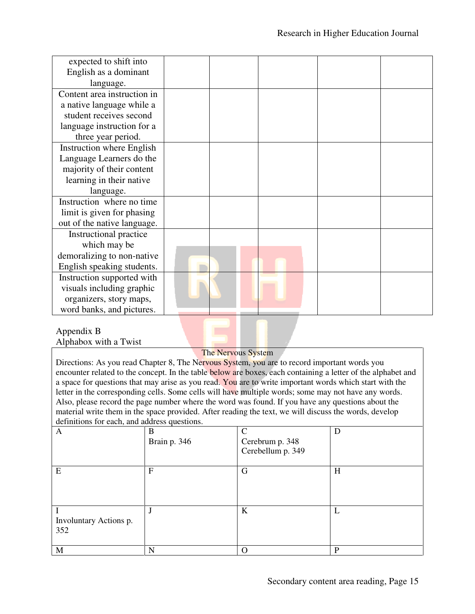| expected to shift into      |  |  |  |
|-----------------------------|--|--|--|
| English as a dominant       |  |  |  |
| language.                   |  |  |  |
| Content area instruction in |  |  |  |
| a native language while a   |  |  |  |
| student receives second     |  |  |  |
| language instruction for a  |  |  |  |
| three year period.          |  |  |  |
| Instruction where English   |  |  |  |
| Language Learners do the    |  |  |  |
| majority of their content   |  |  |  |
| learning in their native    |  |  |  |
| language.                   |  |  |  |
| Instruction where no time   |  |  |  |
| limit is given for phasing  |  |  |  |
| out of the native language. |  |  |  |
| Instructional practice      |  |  |  |
| which may be                |  |  |  |
| demoralizing to non-native  |  |  |  |
| English speaking students.  |  |  |  |
| Instruction supported with  |  |  |  |
| visuals including graphic   |  |  |  |
| organizers, story maps,     |  |  |  |
| word banks, and pictures.   |  |  |  |

#### Appendix B Alphabox with a Twist

#### The Nervous System

Directions: As you read Chapter 8, The Nervous System, you are to record important words you encounter related to the concept. In the table below are boxes, each containing a letter of the alphabet and a space for questions that may arise as you read. You are to write important words which start with the letter in the corresponding cells. Some cells will have multiple words; some may not have any words. Also, please record the page number where the word was found. If you have any questions about the material write them in the space provided. After reading the text, we will discuss the words, develop definitions for each, and address questions. ead Chapter 8, The Nervous System, you are to record important words you<br>the concept. In the table below are boxes, each containing a letter of the alphabet are<br>to write important words which start with the letter in the corresponding cells. Some cells will have multiple words; some may not have an<br>Also, please record the page number where the word was found. If you have any questions a<br>material write them in the space provid

| A                             | B<br>Brain p. 346 | $\mathcal{C}$<br>Cerebrum p. 348<br>Cerebellum p. 349 | D |
|-------------------------------|-------------------|-------------------------------------------------------|---|
| E                             | F                 | G                                                     | H |
| Involuntary Actions p.<br>352 | J                 | K                                                     | ட |
| M                             | N                 | $\Omega$                                              | P |